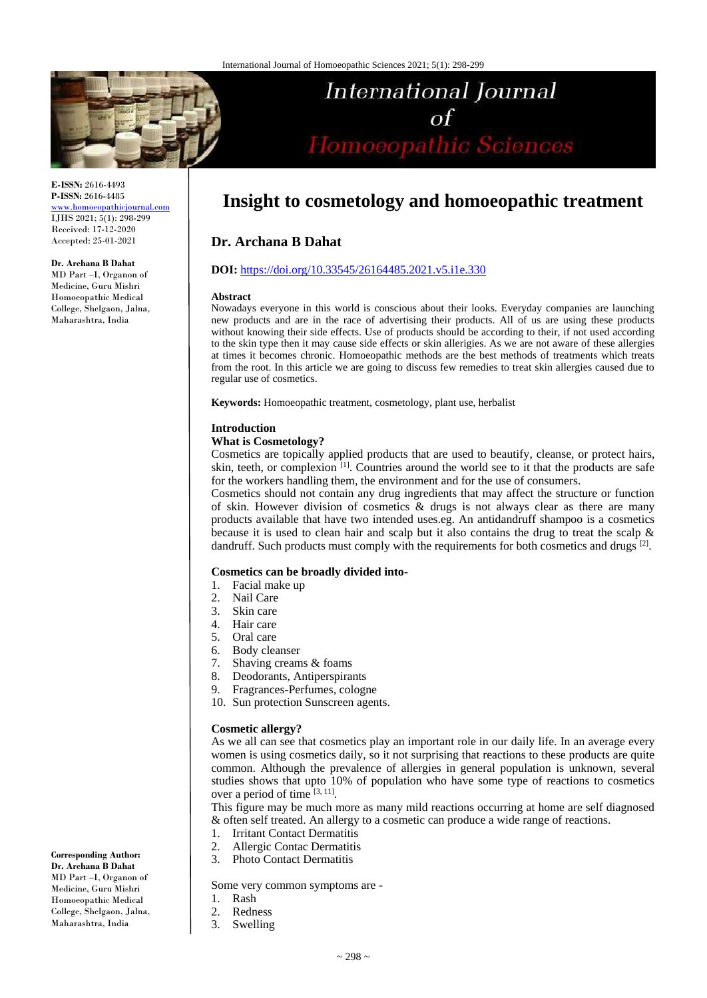

**E-ISSN:** 2616-4493 **P-ISSN:** 2616-4485 [www.homoeopathicjournal.com](file://Server/test/homoeopathicjournal/issue/vol%204/issue%201/www.homoeopathicjournal.com)

IJHS 2021; 5(1): 298-299 Received: 17-12-2020 Accepted: 25-01-2021

#### **Dr. Archana B Dahat**

MD Part –I, Organon of Medicine, Guru Mishri Homoeopathic Medical College, Shelgaon, Jalna, Maharashtra, India

# International Journal of<br>Homoeopathic Sciences

# **Insight to cosmetology and homoeopathic treatment**

# **Dr. Archana B Dahat**

# **DOI:** <https://doi.org/10.33545/26164485.2021.v5.i1e.330>

#### **Abstract**

Nowadays everyone in this world is conscious about their looks. Everyday companies are launching new products and are in the race of advertising their products. All of us are using these products without knowing their side effects. Use of products should be according to their, if not used according to the skin type then it may cause side effects or skin allerigies. As we are not aware of these allergies at times it becomes chronic. Homoeopathic methods are the best methods of treatments which treats from the root. In this article we are going to discuss few remedies to treat skin allergies caused due to regular use of cosmetics.

**Keywords:** Homoeopathic treatment, cosmetology, plant use, herbalist

#### **Introduction**

#### **What is Cosmetology?**

Cosmetics are topically applied products that are used to beautify, cleanse, or protect hairs, skin, teeth, or complexion  $\left[1\right]$ . Countries around the world see to it that the products are safe for the workers handling them, the environment and for the use of consumers.

Cosmetics should not contain any drug ingredients that may affect the structure or function of skin. However division of cosmetics & drugs is not always clear as there are many products available that have two intended uses.eg. An antidandruff shampoo is a cosmetics because it is used to clean hair and scalp but it also contains the drug to treat the scalp & dandruff. Such products must comply with the requirements for both cosmetics and drugs [2].

#### **Cosmetics can be broadly divided into**-

- 1. Facial make up
- 2. Nail Care
- 3. Skin care
- 4. Hair care
- 5. Oral care
- 6. Body cleanser
- 7. Shaving creams & foams
- 8. Deodorants, Antiperspirants
- 9. Fragrances-Perfumes, cologne
- 10. Sun protection Sunscreen agents.

#### **Cosmetic allergy?**

As we all can see that cosmetics play an important role in our daily life. In an average every women is using cosmetics daily, so it not surprising that reactions to these products are quite common. Although the prevalence of allergies in general population is unknown, several studies shows that upto 10% of population who have some type of reactions to cosmetics over a period of time  $[3, 11]$ .

This figure may be much more as many mild reactions occurring at home are self diagnosed & often self treated. An allergy to a cosmetic can produce a wide range of reactions.

- 1. Irritant Contact Dermatitis
- 2. Allergic Contac Dermatitis
- 3. Photo Contact Dermatitis

Some very common symptoms are -

- 1. Rash
- 2. Redness
- 3. Swelling

**Corresponding Author: Dr. Archana B Dahat** MD Part –I, Organon of Medicine, Guru Mishri Homoeopathic Medical College, Shelgaon, Jalna, Maharashtra, India